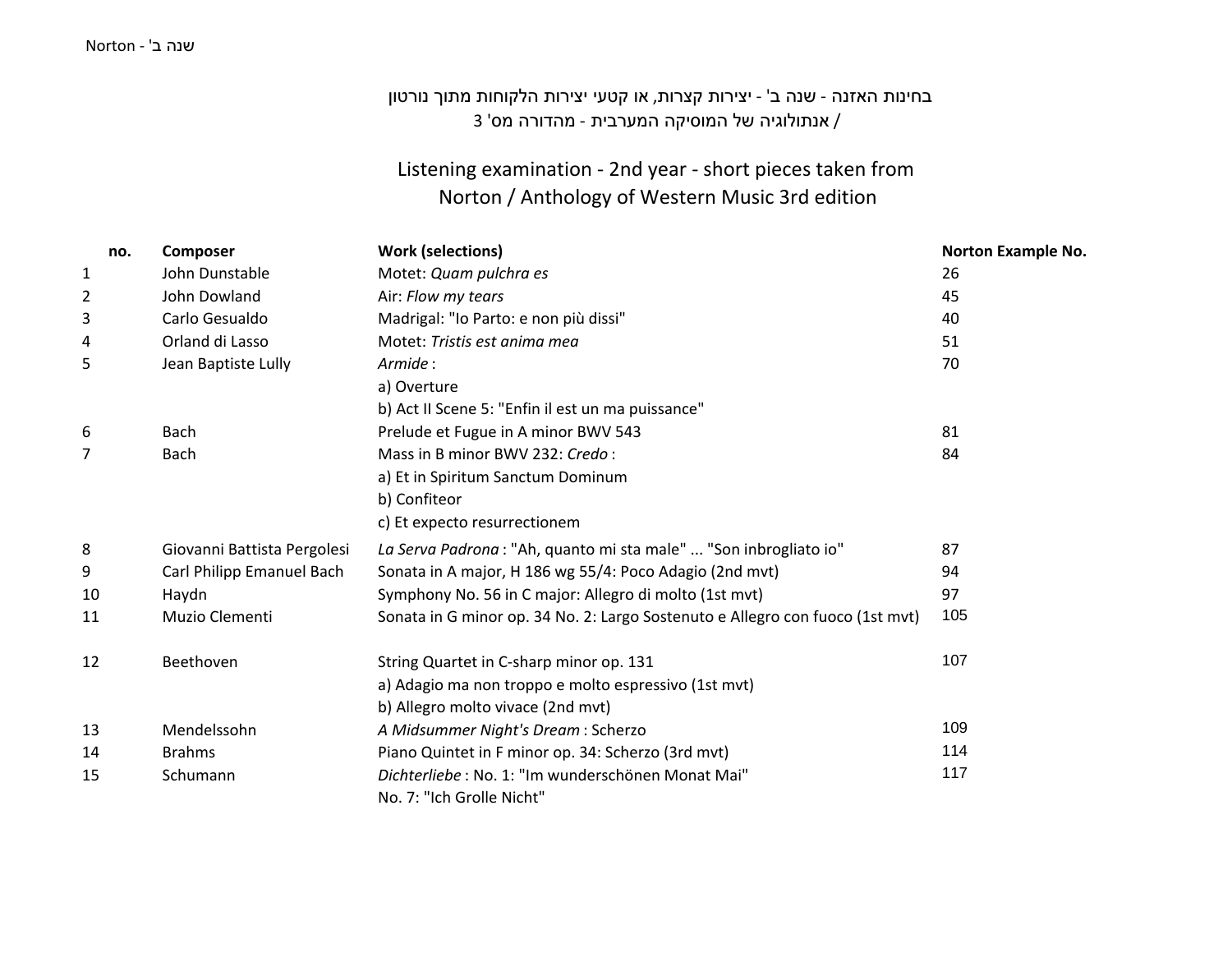#### שנה <sup>ב</sup>' - Norton

# בחינות האזנה - שנה <sup>ב</sup>' - יצירות קצרות, או קטעי יצירות הלקוחות מתוך נורטון / אנתולוגיה של המוסיקה המערבית - מהדורה מס' 3

### Listening examination - 2nd year - short pieces taken from Norton / Anthology of Western Music 3rd edition

| no. | <b>Composer</b>                | <b>Work (selections)</b>                                                      | <b>Norton Example No.</b> |
|-----|--------------------------------|-------------------------------------------------------------------------------|---------------------------|
| 1   | John Dunstable                 | Motet: Quam pulchra es                                                        | 26                        |
| 2   | John Dowland                   | Air: Flow my tears                                                            | 45                        |
| 3   | Carlo Gesualdo                 | Madrigal: "Io Parto: e non più dissi"                                         | 40                        |
| 4   | Orland di Lasso                | Motet: Tristis est anima mea                                                  | 51                        |
| 5   | Jean Baptiste Lully<br>Armide: |                                                                               | 70                        |
|     |                                | a) Overture                                                                   |                           |
|     |                                | b) Act II Scene 5: "Enfin il est un ma puissance"                             |                           |
| 6   | Bach                           | Prelude et Fugue in A minor BWV 543                                           | 81                        |
| 7   | Bach                           | Mass in B minor BWV 232: Credo:                                               | 84                        |
|     |                                | a) Et in Spiritum Sanctum Dominum                                             |                           |
|     |                                | b) Confiteor                                                                  |                           |
|     |                                | c) Et expecto resurrectionem                                                  |                           |
| 8   | Giovanni Battista Pergolesi    | La Serva Padrona : "Ah, quanto mi sta male"  "Son inbrogliato io"             | 87                        |
| 9   | Carl Philipp Emanuel Bach      | Sonata in A major, H 186 wg 55/4: Poco Adagio (2nd mvt)                       | 94                        |
| 10  | Haydn                          | Symphony No. 56 in C major: Allegro di molto (1st mvt)                        | 97                        |
| 11  | Muzio Clementi                 | Sonata in G minor op. 34 No. 2: Largo Sostenuto e Allegro con fuoco (1st mvt) | 105                       |
| 12  | Beethoven                      | String Quartet in C-sharp minor op. 131                                       | 107                       |
|     |                                | a) Adagio ma non troppo e molto espressivo (1st mvt)                          |                           |
|     |                                | b) Allegro molto vivace (2nd mvt)                                             |                           |
| 13  | Mendelssohn                    | A Midsummer Night's Dream: Scherzo                                            | 109                       |
| 14  | <b>Brahms</b>                  | Piano Quintet in F minor op. 34: Scherzo (3rd mvt)                            | 114                       |
| 15  | Schumann                       | Dichterliebe: No. 1: "Im wunderschönen Monat Mai"                             | 117                       |
|     |                                | No. 7: "Ich Grolle Nicht"                                                     |                           |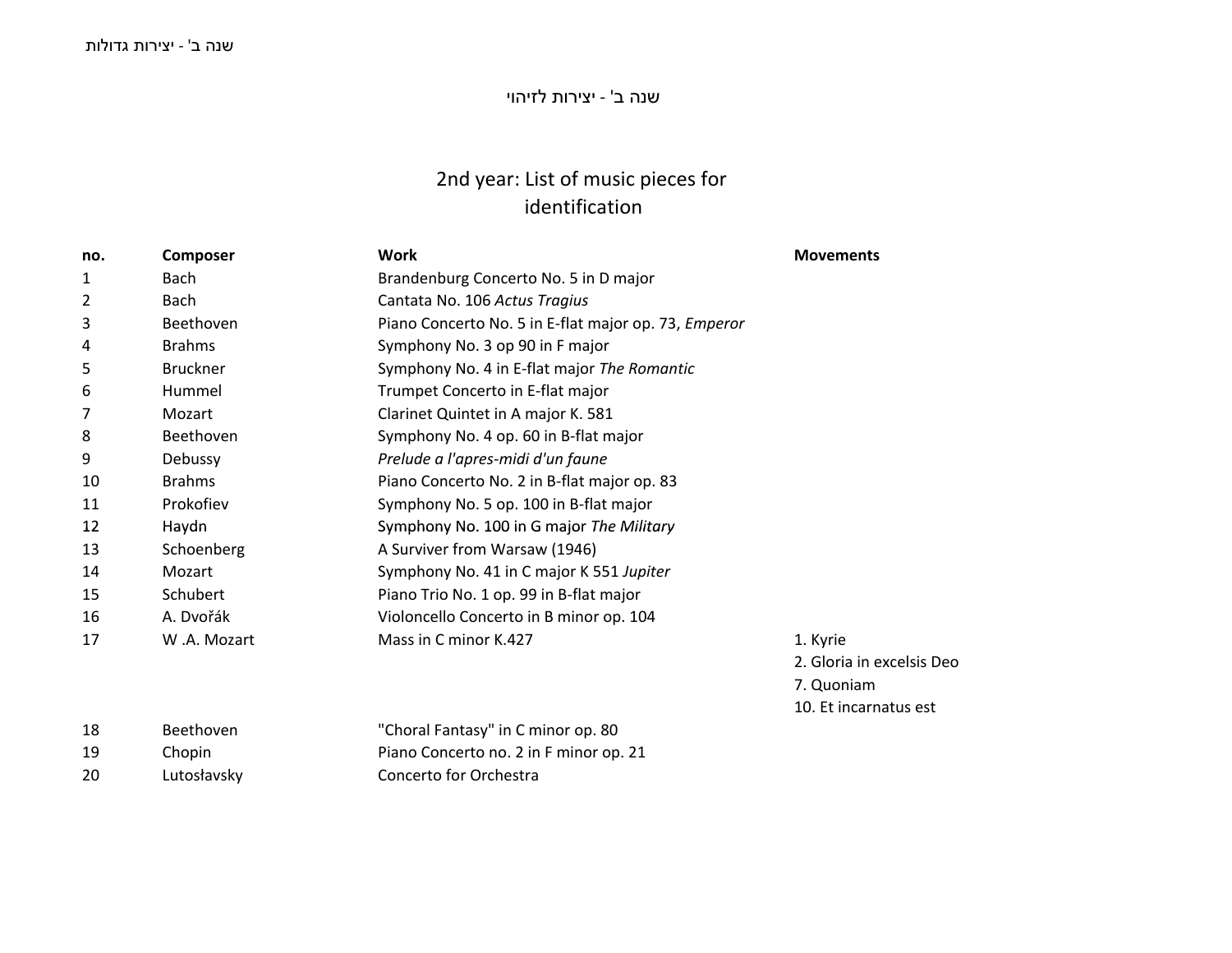### שנה <sup>ב</sup>' - יצירות לזיהוי

## 2nd year: List of music pieces for identification

| Composer        | <b>Work</b>                                          | <b>Movements</b>          |
|-----------------|------------------------------------------------------|---------------------------|
| <b>Bach</b>     | Brandenburg Concerto No. 5 in D major                |                           |
| <b>Bach</b>     | Cantata No. 106 Actus Tragius                        |                           |
| Beethoven       | Piano Concerto No. 5 in E-flat major op. 73, Emperor |                           |
| <b>Brahms</b>   | Symphony No. 3 op 90 in F major                      |                           |
| <b>Bruckner</b> | Symphony No. 4 in E-flat major The Romantic          |                           |
| Hummel          | Trumpet Concerto in E-flat major                     |                           |
| Mozart          | Clarinet Quintet in A major K. 581                   |                           |
| Beethoven       | Symphony No. 4 op. 60 in B-flat major                |                           |
| Debussy         | Prelude a l'apres-midi d'un faune                    |                           |
| <b>Brahms</b>   | Piano Concerto No. 2 in B-flat major op. 83          |                           |
| Prokofiev       | Symphony No. 5 op. 100 in B-flat major               |                           |
| Haydn           | Symphony No. 100 in G major The Military             |                           |
| Schoenberg      | A Surviver from Warsaw (1946)                        |                           |
| Mozart          | Symphony No. 41 in C major K 551 Jupiter             |                           |
| Schubert        | Piano Trio No. 1 op. 99 in B-flat major              |                           |
| A. Dvořák       | Violoncello Concerto in B minor op. 104              |                           |
| W.A. Mozart     | Mass in C minor K.427                                | 1. Kyrie                  |
|                 |                                                      | 2. Gloria in excelsis Deo |
|                 |                                                      | 7. Quoniam                |
|                 |                                                      | 10. Et incarnatus est     |
| Beethoven       | "Choral Fantasy" in C minor op. 80                   |                           |
| Chopin          | Piano Concerto no. 2 in F minor op. 21               |                           |
|                 |                                                      |                           |

<sup>20</sup> Lutosłavsky Concerto for Orchestra